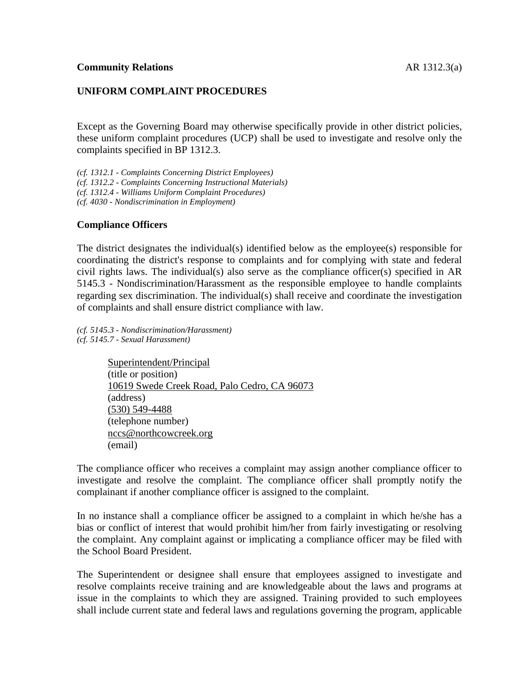## **UNIFORM COMPLAINT PROCEDURES**

Except as the Governing Board may otherwise specifically provide in other district policies, these uniform complaint procedures (UCP) shall be used to investigate and resolve only the complaints specified in BP 1312.3.

*(cf. 1312.1 - Complaints Concerning District Employees) (cf. 1312.2 - Complaints Concerning Instructional Materials) (cf. 1312.4 - Williams Uniform Complaint Procedures) (cf. 4030 - Nondiscrimination in Employment)*

#### **Compliance Officers**

The district designates the individual(s) identified below as the employee(s) responsible for coordinating the district's response to complaints and for complying with state and federal civil rights laws. The individual(s) also serve as the compliance officer(s) specified in AR 5145.3 - Nondiscrimination/Harassment as the responsible employee to handle complaints regarding sex discrimination. The individual(s) shall receive and coordinate the investigation of complaints and shall ensure district compliance with law.

*(cf. 5145.3 - Nondiscrimination/Harassment) (cf. 5145.7 - Sexual Harassment)*

> Superintendent/Principal (title or position) 10619 Swede Creek Road, Palo Cedro, CA 96073 (address) (530) 549-4488 (telephone number) nccs@northcowcreek.org (email)

The compliance officer who receives a complaint may assign another compliance officer to investigate and resolve the complaint. The compliance officer shall promptly notify the complainant if another compliance officer is assigned to the complaint.

In no instance shall a compliance officer be assigned to a complaint in which he/she has a bias or conflict of interest that would prohibit him/her from fairly investigating or resolving the complaint. Any complaint against or implicating a compliance officer may be filed with the School Board President.

The Superintendent or designee shall ensure that employees assigned to investigate and resolve complaints receive training and are knowledgeable about the laws and programs at issue in the complaints to which they are assigned. Training provided to such employees shall include current state and federal laws and regulations governing the program, applicable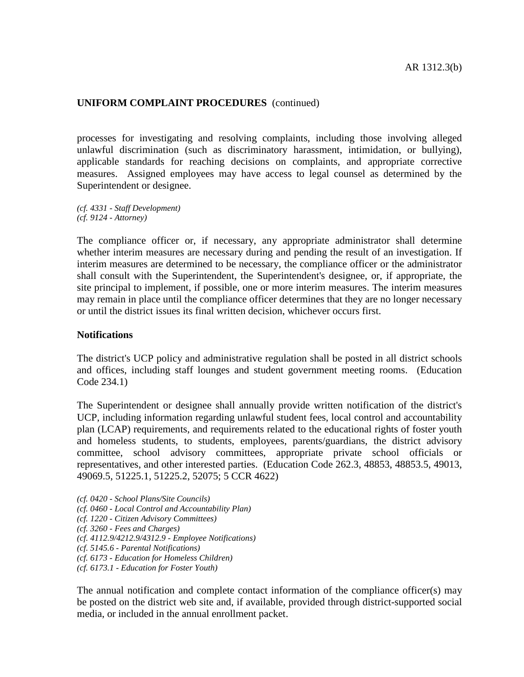processes for investigating and resolving complaints, including those involving alleged unlawful discrimination (such as discriminatory harassment, intimidation, or bullying), applicable standards for reaching decisions on complaints, and appropriate corrective measures. Assigned employees may have access to legal counsel as determined by the Superintendent or designee.

*(cf. 4331 - Staff Development) (cf. 9124 - Attorney)*

The compliance officer or, if necessary, any appropriate administrator shall determine whether interim measures are necessary during and pending the result of an investigation. If interim measures are determined to be necessary, the compliance officer or the administrator shall consult with the Superintendent, the Superintendent's designee, or, if appropriate, the site principal to implement, if possible, one or more interim measures. The interim measures may remain in place until the compliance officer determines that they are no longer necessary or until the district issues its final written decision, whichever occurs first.

#### **Notifications**

The district's UCP policy and administrative regulation shall be posted in all district schools and offices, including staff lounges and student government meeting rooms. (Education Code 234.1)

The Superintendent or designee shall annually provide written notification of the district's UCP, including information regarding unlawful student fees, local control and accountability plan (LCAP) requirements, and requirements related to the educational rights of foster youth and homeless students, to students, employees, parents/guardians, the district advisory committee, school advisory committees, appropriate private school officials or representatives, and other interested parties. (Education Code 262.3, 48853, 48853.5, 49013, 49069.5, 51225.1, 51225.2, 52075; 5 CCR 4622)

*(cf. 0420 - School Plans/Site Councils)*

- *(cf. 0460 - Local Control and Accountability Plan)*
- *(cf. 1220 - Citizen Advisory Committees)*
- *(cf. 3260 - Fees and Charges)*

*(cf. 4112.9/4212.9/4312.9 - Employee Notifications)*

- *(cf. 5145.6 - Parental Notifications)*
- *(cf. 6173 - Education for Homeless Children)*
- *(cf. 6173.1 - Education for Foster Youth)*

The annual notification and complete contact information of the compliance officer(s) may be posted on the district web site and, if available, provided through district-supported social media, or included in the annual enrollment packet.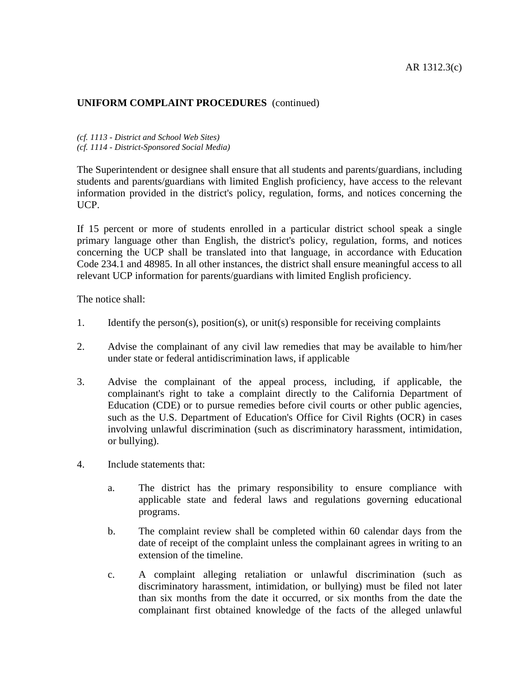*(cf. 1113 - District and School Web Sites) (cf. 1114 - District-Sponsored Social Media)*

The Superintendent or designee shall ensure that all students and parents/guardians, including students and parents/guardians with limited English proficiency, have access to the relevant information provided in the district's policy, regulation, forms, and notices concerning the UCP.

If 15 percent or more of students enrolled in a particular district school speak a single primary language other than English, the district's policy, regulation, forms, and notices concerning the UCP shall be translated into that language, in accordance with Education Code 234.1 and 48985. In all other instances, the district shall ensure meaningful access to all relevant UCP information for parents/guardians with limited English proficiency.

The notice shall:

- 1. Identify the person(s), position(s), or unit(s) responsible for receiving complaints
- 2. Advise the complainant of any civil law remedies that may be available to him/her under state or federal antidiscrimination laws, if applicable
- 3. Advise the complainant of the appeal process, including, if applicable, the complainant's right to take a complaint directly to the California Department of Education (CDE) or to pursue remedies before civil courts or other public agencies, such as the U.S. Department of Education's Office for Civil Rights (OCR) in cases involving unlawful discrimination (such as discriminatory harassment, intimidation, or bullying).
- 4. Include statements that:
	- a. The district has the primary responsibility to ensure compliance with applicable state and federal laws and regulations governing educational programs.
	- b. The complaint review shall be completed within 60 calendar days from the date of receipt of the complaint unless the complainant agrees in writing to an extension of the timeline.
	- c. A complaint alleging retaliation or unlawful discrimination (such as discriminatory harassment, intimidation, or bullying) must be filed not later than six months from the date it occurred, or six months from the date the complainant first obtained knowledge of the facts of the alleged unlawful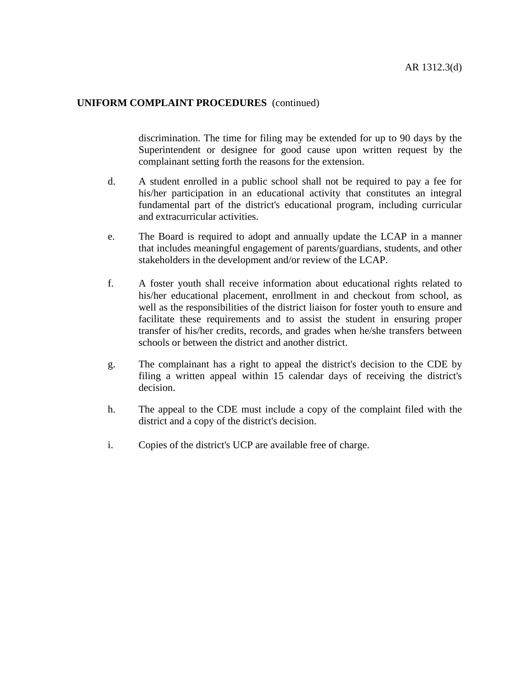discrimination. The time for filing may be extended for up to 90 days by the Superintendent or designee for good cause upon written request by the complainant setting forth the reasons for the extension.

- d. A student enrolled in a public school shall not be required to pay a fee for his/her participation in an educational activity that constitutes an integral fundamental part of the district's educational program, including curricular and extracurricular activities.
- e. The Board is required to adopt and annually update the LCAP in a manner that includes meaningful engagement of parents/guardians, students, and other stakeholders in the development and/or review of the LCAP.
- f. A foster youth shall receive information about educational rights related to his/her educational placement, enrollment in and checkout from school, as well as the responsibilities of the district liaison for foster youth to ensure and facilitate these requirements and to assist the student in ensuring proper transfer of his/her credits, records, and grades when he/she transfers between schools or between the district and another district.
- g. The complainant has a right to appeal the district's decision to the CDE by filing a written appeal within 15 calendar days of receiving the district's decision.
- h. The appeal to the CDE must include a copy of the complaint filed with the district and a copy of the district's decision.
- i. Copies of the district's UCP are available free of charge.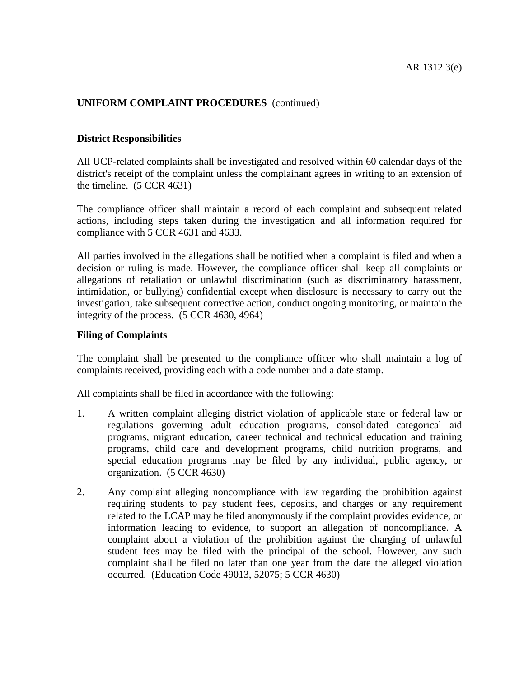#### **District Responsibilities**

All UCP-related complaints shall be investigated and resolved within 60 calendar days of the district's receipt of the complaint unless the complainant agrees in writing to an extension of the timeline. (5 CCR 4631)

The compliance officer shall maintain a record of each complaint and subsequent related actions, including steps taken during the investigation and all information required for compliance with 5 CCR 4631 and 4633.

All parties involved in the allegations shall be notified when a complaint is filed and when a decision or ruling is made. However, the compliance officer shall keep all complaints or allegations of retaliation or unlawful discrimination (such as discriminatory harassment, intimidation, or bullying) confidential except when disclosure is necessary to carry out the investigation, take subsequent corrective action, conduct ongoing monitoring, or maintain the integrity of the process. (5 CCR 4630, 4964)

#### **Filing of Complaints**

The complaint shall be presented to the compliance officer who shall maintain a log of complaints received, providing each with a code number and a date stamp.

All complaints shall be filed in accordance with the following:

- 1. A written complaint alleging district violation of applicable state or federal law or regulations governing adult education programs, consolidated categorical aid programs, migrant education, career technical and technical education and training programs, child care and development programs, child nutrition programs, and special education programs may be filed by any individual, public agency, or organization. (5 CCR 4630)
- 2. Any complaint alleging noncompliance with law regarding the prohibition against requiring students to pay student fees, deposits, and charges or any requirement related to the LCAP may be filed anonymously if the complaint provides evidence, or information leading to evidence, to support an allegation of noncompliance. A complaint about a violation of the prohibition against the charging of unlawful student fees may be filed with the principal of the school. However, any such complaint shall be filed no later than one year from the date the alleged violation occurred. (Education Code 49013, 52075; 5 CCR 4630)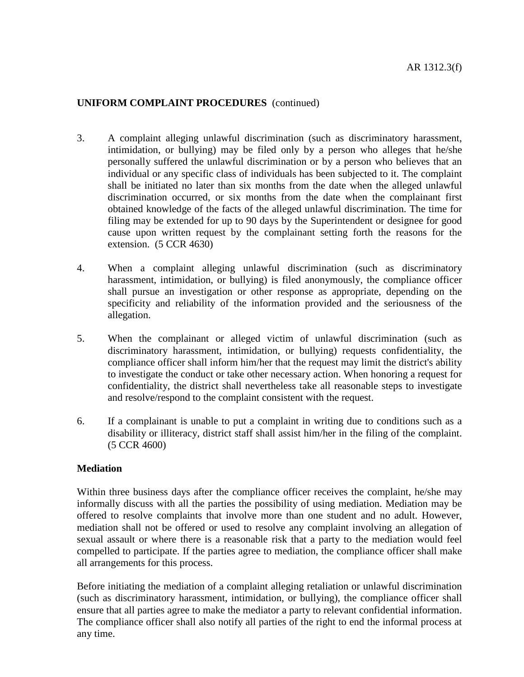- 3. A complaint alleging unlawful discrimination (such as discriminatory harassment, intimidation, or bullying) may be filed only by a person who alleges that he/she personally suffered the unlawful discrimination or by a person who believes that an individual or any specific class of individuals has been subjected to it. The complaint shall be initiated no later than six months from the date when the alleged unlawful discrimination occurred, or six months from the date when the complainant first obtained knowledge of the facts of the alleged unlawful discrimination. The time for filing may be extended for up to 90 days by the Superintendent or designee for good cause upon written request by the complainant setting forth the reasons for the extension. (5 CCR 4630)
- 4. When a complaint alleging unlawful discrimination (such as discriminatory harassment, intimidation, or bullying) is filed anonymously, the compliance officer shall pursue an investigation or other response as appropriate, depending on the specificity and reliability of the information provided and the seriousness of the allegation.
- 5. When the complainant or alleged victim of unlawful discrimination (such as discriminatory harassment, intimidation, or bullying) requests confidentiality, the compliance officer shall inform him/her that the request may limit the district's ability to investigate the conduct or take other necessary action. When honoring a request for confidentiality, the district shall nevertheless take all reasonable steps to investigate and resolve/respond to the complaint consistent with the request.
- 6. If a complainant is unable to put a complaint in writing due to conditions such as a disability or illiteracy, district staff shall assist him/her in the filing of the complaint. (5 CCR 4600)

### **Mediation**

Within three business days after the compliance officer receives the complaint, he/she may informally discuss with all the parties the possibility of using mediation. Mediation may be offered to resolve complaints that involve more than one student and no adult. However, mediation shall not be offered or used to resolve any complaint involving an allegation of sexual assault or where there is a reasonable risk that a party to the mediation would feel compelled to participate. If the parties agree to mediation, the compliance officer shall make all arrangements for this process.

Before initiating the mediation of a complaint alleging retaliation or unlawful discrimination (such as discriminatory harassment, intimidation, or bullying), the compliance officer shall ensure that all parties agree to make the mediator a party to relevant confidential information. The compliance officer shall also notify all parties of the right to end the informal process at any time.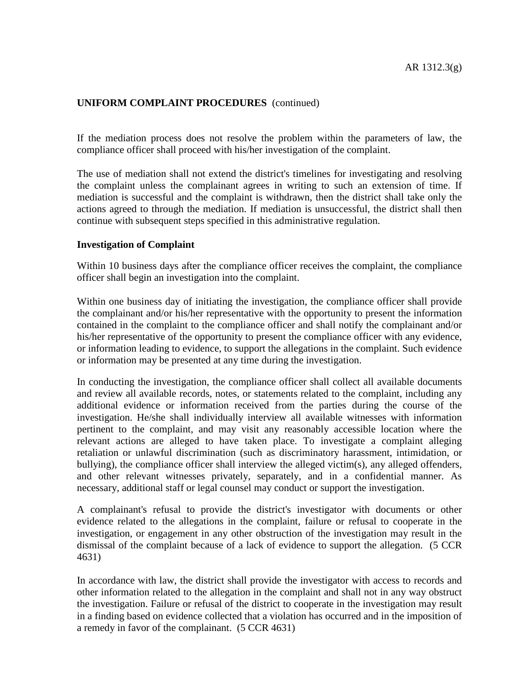If the mediation process does not resolve the problem within the parameters of law, the compliance officer shall proceed with his/her investigation of the complaint.

The use of mediation shall not extend the district's timelines for investigating and resolving the complaint unless the complainant agrees in writing to such an extension of time. If mediation is successful and the complaint is withdrawn, then the district shall take only the actions agreed to through the mediation. If mediation is unsuccessful, the district shall then continue with subsequent steps specified in this administrative regulation.

#### **Investigation of Complaint**

Within 10 business days after the compliance officer receives the complaint, the compliance officer shall begin an investigation into the complaint.

Within one business day of initiating the investigation, the compliance officer shall provide the complainant and/or his/her representative with the opportunity to present the information contained in the complaint to the compliance officer and shall notify the complainant and/or his/her representative of the opportunity to present the compliance officer with any evidence, or information leading to evidence, to support the allegations in the complaint. Such evidence or information may be presented at any time during the investigation.

In conducting the investigation, the compliance officer shall collect all available documents and review all available records, notes, or statements related to the complaint, including any additional evidence or information received from the parties during the course of the investigation. He/she shall individually interview all available witnesses with information pertinent to the complaint, and may visit any reasonably accessible location where the relevant actions are alleged to have taken place. To investigate a complaint alleging retaliation or unlawful discrimination (such as discriminatory harassment, intimidation, or bullying), the compliance officer shall interview the alleged victim(s), any alleged offenders, and other relevant witnesses privately, separately, and in a confidential manner. As necessary, additional staff or legal counsel may conduct or support the investigation.

A complainant's refusal to provide the district's investigator with documents or other evidence related to the allegations in the complaint, failure or refusal to cooperate in the investigation, or engagement in any other obstruction of the investigation may result in the dismissal of the complaint because of a lack of evidence to support the allegation. (5 CCR 4631)

In accordance with law, the district shall provide the investigator with access to records and other information related to the allegation in the complaint and shall not in any way obstruct the investigation. Failure or refusal of the district to cooperate in the investigation may result in a finding based on evidence collected that a violation has occurred and in the imposition of a remedy in favor of the complainant. (5 CCR 4631)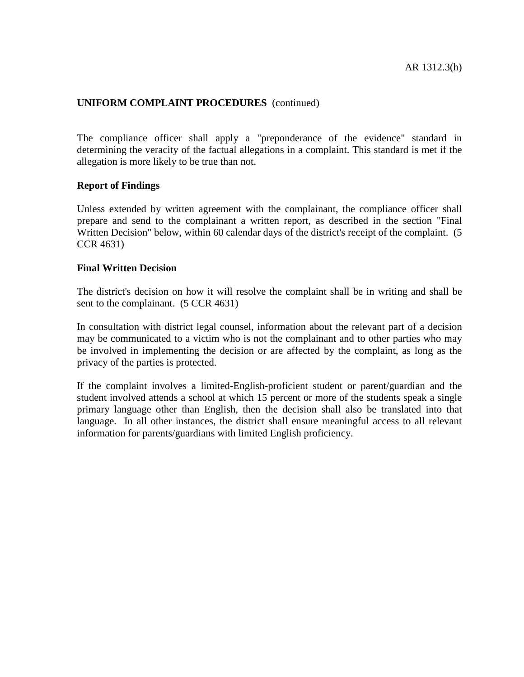The compliance officer shall apply a "preponderance of the evidence" standard in determining the veracity of the factual allegations in a complaint. This standard is met if the allegation is more likely to be true than not.

### **Report of Findings**

Unless extended by written agreement with the complainant, the compliance officer shall prepare and send to the complainant a written report, as described in the section "Final Written Decision" below, within 60 calendar days of the district's receipt of the complaint. (5 CCR 4631)

#### **Final Written Decision**

The district's decision on how it will resolve the complaint shall be in writing and shall be sent to the complainant. (5 CCR 4631)

In consultation with district legal counsel, information about the relevant part of a decision may be communicated to a victim who is not the complainant and to other parties who may be involved in implementing the decision or are affected by the complaint, as long as the privacy of the parties is protected.

If the complaint involves a limited-English-proficient student or parent/guardian and the student involved attends a school at which 15 percent or more of the students speak a single primary language other than English, then the decision shall also be translated into that language. In all other instances, the district shall ensure meaningful access to all relevant information for parents/guardians with limited English proficiency.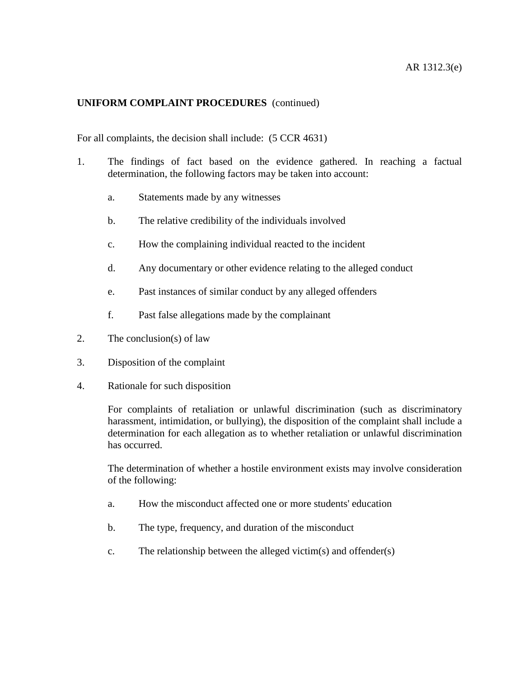For all complaints, the decision shall include: (5 CCR 4631)

- 1. The findings of fact based on the evidence gathered. In reaching a factual determination, the following factors may be taken into account:
	- a. Statements made by any witnesses
	- b. The relative credibility of the individuals involved
	- c. How the complaining individual reacted to the incident
	- d. Any documentary or other evidence relating to the alleged conduct
	- e. Past instances of similar conduct by any alleged offenders
	- f. Past false allegations made by the complainant
- 2. The conclusion(s) of law
- 3. Disposition of the complaint
- 4. Rationale for such disposition

For complaints of retaliation or unlawful discrimination (such as discriminatory harassment, intimidation, or bullying), the disposition of the complaint shall include a determination for each allegation as to whether retaliation or unlawful discrimination has occurred.

The determination of whether a hostile environment exists may involve consideration of the following:

- a. How the misconduct affected one or more students' education
- b. The type, frequency, and duration of the misconduct
- c. The relationship between the alleged victim(s) and offender(s)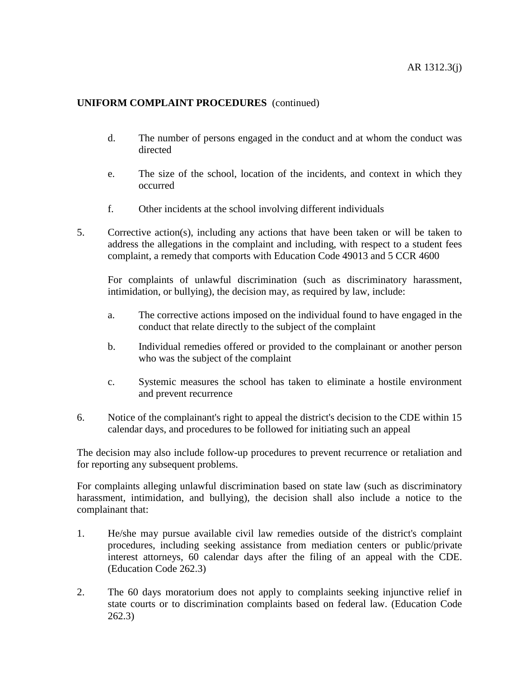- d. The number of persons engaged in the conduct and at whom the conduct was directed
- e. The size of the school, location of the incidents, and context in which they occurred
- f. Other incidents at the school involving different individuals
- 5. Corrective action(s), including any actions that have been taken or will be taken to address the allegations in the complaint and including, with respect to a student fees complaint, a remedy that comports with Education Code 49013 and 5 CCR 4600

For complaints of unlawful discrimination (such as discriminatory harassment, intimidation, or bullying), the decision may, as required by law, include:

- a. The corrective actions imposed on the individual found to have engaged in the conduct that relate directly to the subject of the complaint
- b. Individual remedies offered or provided to the complainant or another person who was the subject of the complaint
- c. Systemic measures the school has taken to eliminate a hostile environment and prevent recurrence
- 6. Notice of the complainant's right to appeal the district's decision to the CDE within 15 calendar days, and procedures to be followed for initiating such an appeal

The decision may also include follow-up procedures to prevent recurrence or retaliation and for reporting any subsequent problems.

For complaints alleging unlawful discrimination based on state law (such as discriminatory harassment, intimidation, and bullying), the decision shall also include a notice to the complainant that:

- 1. He/she may pursue available civil law remedies outside of the district's complaint procedures, including seeking assistance from mediation centers or public/private interest attorneys, 60 calendar days after the filing of an appeal with the CDE. (Education Code 262.3)
- 2. The 60 days moratorium does not apply to complaints seeking injunctive relief in state courts or to discrimination complaints based on federal law. (Education Code 262.3)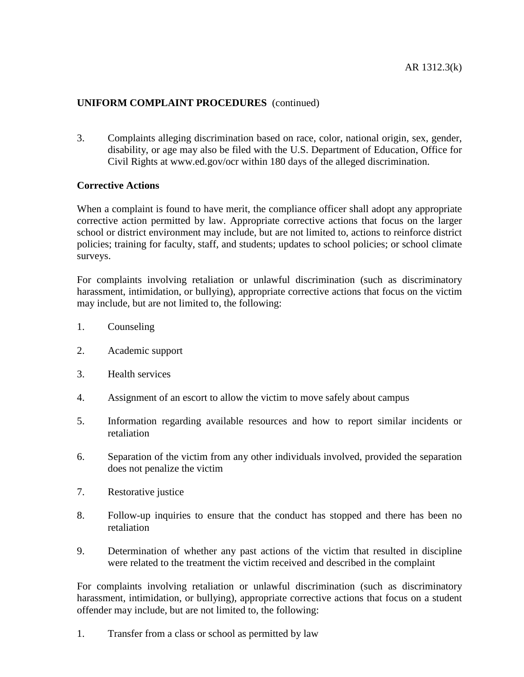3. Complaints alleging discrimination based on race, color, national origin, sex, gender, disability, or age may also be filed with the U.S. Department of Education, Office for Civil Rights at www.ed.gov/ocr within 180 days of the alleged discrimination.

### **Corrective Actions**

When a complaint is found to have merit, the compliance officer shall adopt any appropriate corrective action permitted by law. Appropriate corrective actions that focus on the larger school or district environment may include, but are not limited to, actions to reinforce district policies; training for faculty, staff, and students; updates to school policies; or school climate surveys.

For complaints involving retaliation or unlawful discrimination (such as discriminatory harassment, intimidation, or bullying), appropriate corrective actions that focus on the victim may include, but are not limited to, the following:

- 1. Counseling
- 2. Academic support
- 3. Health services
- 4. Assignment of an escort to allow the victim to move safely about campus
- 5. Information regarding available resources and how to report similar incidents or retaliation
- 6. Separation of the victim from any other individuals involved, provided the separation does not penalize the victim
- 7. Restorative justice
- 8. Follow-up inquiries to ensure that the conduct has stopped and there has been no retaliation
- 9. Determination of whether any past actions of the victim that resulted in discipline were related to the treatment the victim received and described in the complaint

For complaints involving retaliation or unlawful discrimination (such as discriminatory harassment, intimidation, or bullying), appropriate corrective actions that focus on a student offender may include, but are not limited to, the following:

1. Transfer from a class or school as permitted by law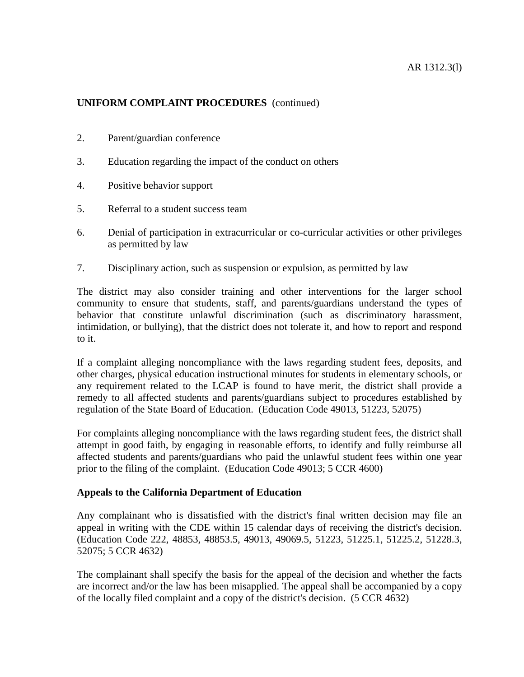- 2. Parent/guardian conference
- 3. Education regarding the impact of the conduct on others
- 4. Positive behavior support
- 5. Referral to a student success team
- 6. Denial of participation in extracurricular or co-curricular activities or other privileges as permitted by law
- 7. Disciplinary action, such as suspension or expulsion, as permitted by law

The district may also consider training and other interventions for the larger school community to ensure that students, staff, and parents/guardians understand the types of behavior that constitute unlawful discrimination (such as discriminatory harassment, intimidation, or bullying), that the district does not tolerate it, and how to report and respond to it.

If a complaint alleging noncompliance with the laws regarding student fees, deposits, and other charges, physical education instructional minutes for students in elementary schools, or any requirement related to the LCAP is found to have merit, the district shall provide a remedy to all affected students and parents/guardians subject to procedures established by regulation of the State Board of Education. (Education Code 49013, 51223, 52075)

For complaints alleging noncompliance with the laws regarding student fees, the district shall attempt in good faith, by engaging in reasonable efforts, to identify and fully reimburse all affected students and parents/guardians who paid the unlawful student fees within one year prior to the filing of the complaint. (Education Code 49013; 5 CCR 4600)

### **Appeals to the California Department of Education**

Any complainant who is dissatisfied with the district's final written decision may file an appeal in writing with the CDE within 15 calendar days of receiving the district's decision. (Education Code 222, 48853, 48853.5, 49013, 49069.5, 51223, 51225.1, 51225.2, 51228.3, 52075; 5 CCR 4632)

The complainant shall specify the basis for the appeal of the decision and whether the facts are incorrect and/or the law has been misapplied. The appeal shall be accompanied by a copy of the locally filed complaint and a copy of the district's decision. (5 CCR 4632)